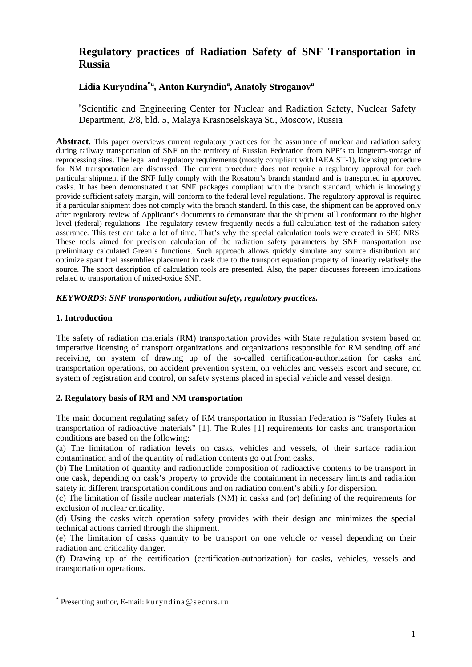# **Regulatory practices of Radiation Safety of SNF Transportation in Russia**

# **Lidia Kuryndina\*a, Anton Kuryndina , Anatoly Stroganov<sup>a</sup>**

<sup>a</sup>Scientific and Engineering Center for Nuclear and Radiation Safety, Nuclear Safety Department, 2/8, bld. 5, Malaya Krasnoselskaya St., Moscow, Russia

Abstract. This paper overviews current regulatory practices for the assurance of nuclear and radiation safety during railway transportation of SNF on the territory of Russian Federation from NPP's to longterm-storage of reprocessing sites. The legal and regulatory requirements (mostly compliant with IAEA ST-1), licensing procedure for NM transportation are discussed. The current procedure does not require a regulatory approval for each particular shipment if the SNF fully comply with the Rosatom's branch standard and is transported in approved casks. It has been demonstrated that SNF packages compliant with the branch standard, which is knowingly provide sufficient safety margin, will conform to the federal level regulations. The regulatory approval is required if a particular shipment does not comply with the branch standard. In this case, the shipment can be approved only after regulatory review of Applicant's documents to demonstrate that the shipment still conformant to the higher level (federal) regulations. The regulatory review frequently needs a full calculation test of the radiation safety assurance. This test can take a lot of time. That's why the special calculation tools were created in SEC NRS. These tools aimed for precision calculation of the radiation safety parameters by SNF transportation use preliminary calculated Green's functions. Such approach allows quickly simulate any source distribution and optimize spant fuel assemblies placement in cask due to the transport equation property of linearity relatively the source. The short description of calculation tools are presented. Also, the paper discusses foreseen implications related to transportation of mixed-oxide SNF.

# *KEYWORDS: SNF transportation, radiation safety, regulatory practices.*

# **1. Introduction**

<u>.</u>

The safety of radiation materials (RM) transportation provides with State regulation system based on imperative licensing of transport organizations and organizations responsible for RM sending off and receiving, on system of drawing up of the so-called certification-authorization for casks and transportation operations, on accident prevention system, on vehicles and vessels escort and secure, on system of registration and control, on safety systems placed in special vehicle and vessel design.

#### **2. Regulatory basis of RM and NM transportation**

The main document regulating safety of RM transportation in Russian Federation is "Safety Rules at transportation of radioactive materials" [1]. The Rules [1] requirements for casks and transportation conditions are based on the following:

(a) The limitation of radiation levels on casks, vehicles and vessels, of their surface radiation contamination and of the quantity of radiation contents go out from casks.

(b) The limitation of quantity and radionuclide composition of radioactive contents to be transport in one cask, depending on cask's property to provide the containment in necessary limits and radiation safety in different transportation conditions and on radiation content's ability for dispersion.

(c) The limitation of fissile nuclear materials (NM) in casks and (or) defining of the requirements for exclusion of nuclear criticality.

(d) Using the casks witch operation safety provides with their design and minimizes the special technical actions carried through the shipment.

(e) The limitation of casks quantity to be transport on one vehicle or vessel depending on their radiation and criticality danger.

(f) Drawing up of the certification (certification-authorization) for casks, vehicles, vessels and transportation operations.

<sup>\*</sup> Presenting author, E-mail: kuryndina@secnrs.ru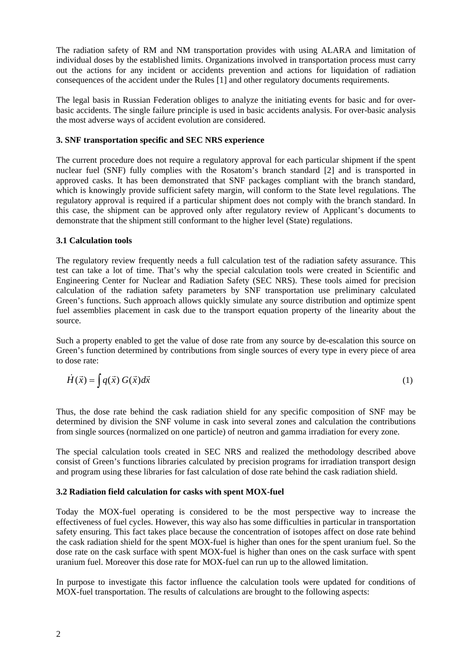The radiation safety of RM and NM transportation provides with using ALARA and limitation of individual doses by the established limits. Organizations involved in transportation process must carry out the actions for any incident or accidents prevention and actions for liquidation of radiation consequences of the accident under the Rules [1] and other regulatory documents requirements.

The legal basis in Russian Federation obliges to analyze the initiating events for basic and for overbasic accidents. The single failure principle is used in basic accidents analysis. For over-basic analysis the most adverse ways of accident evolution are considered.

#### **3. SNF transportation specific and SEC NRS experience**

The current procedure does not require a regulatory approval for each particular shipment if the spent nuclear fuel (SNF) fully complies with the Rosatom's branch standard [2] and is transported in approved casks. It has been demonstrated that SNF packages compliant with the branch standard, which is knowingly provide sufficient safety margin, will conform to the State level regulations. The regulatory approval is required if a particular shipment does not comply with the branch standard. In this case, the shipment can be approved only after regulatory review of Applicant's documents to demonstrate that the shipment still conformant to the higher level (State) regulations.

# **3.1 Calculation tools**

The regulatory review frequently needs a full calculation test of the radiation safety assurance. This test can take a lot of time. That's why the special calculation tools were created in Scientific and Engineering Center for Nuclear and Radiation Safety (SEC NRS). These tools aimed for precision calculation of the radiation safety parameters by SNF transportation use preliminary calculated Green's functions. Such approach allows quickly simulate any source distribution and optimize spent fuel assemblies placement in cask due to the transport equation property of the linearity about the source.

Such a property enabled to get the value of dose rate from any source by de-escalation this source on Green's function determined by contributions from single sources of every type in every piece of area to dose rate:

$$
\dot{H}(\vec{x}) = \int q(\vec{x}) G(\vec{x}) d\vec{x}
$$
 (1)

Thus, the dose rate behind the cask radiation shield for any specific composition of SNF may be determined by division the SNF volume in cask into several zones and calculation the contributions from single sources (normalized on one particle) of neutron and gamma irradiation for every zone.

The special calculation tools created in SEC NRS and realized the methodology described above consist of Green's functions libraries calculated by precision programs for irradiation transport design and program using these libraries for fast calculation of dose rate behind the cask radiation shield.

#### **3.2 Radiation field calculation for casks with spent MOX-fuel**

Today the MOX-fuel operating is considered to be the most perspective way to increase the effectiveness of fuel cycles. However, this way also has some difficulties in particular in transportation safety ensuring. This fact takes place because the concentration of isotopes affect on dose rate behind the cask radiation shield for the spent MOX-fuel is higher than ones for the spent uranium fuel. So the dose rate on the cask surface with spent MOX-fuel is higher than ones on the cask surface with spent uranium fuel. Moreover this dose rate for MOX-fuel can run up to the allowed limitation.

In purpose to investigate this factor influence the calculation tools were updated for conditions of MOX-fuel transportation. The results of calculations are brought to the following aspects: